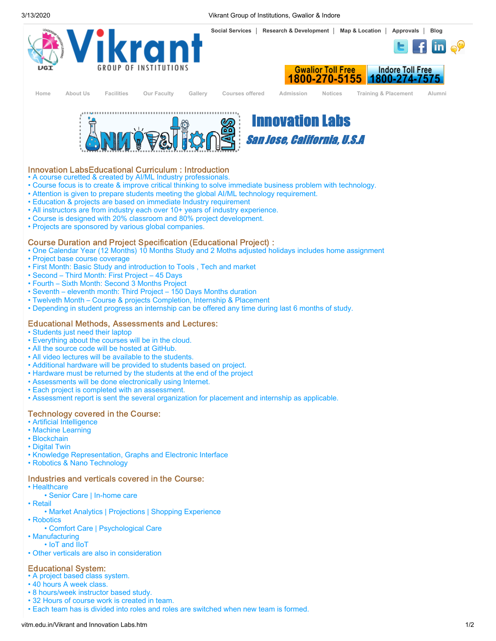



[Home](http://vitm.edu.in/index.htm) About Us Facilities Our Faculty Gallery Courses offered Admission [Notices](http://vitm.edu.in/news.htm) [Training & Placement](http://vitm.edu.in/Placements.htm) [Alumni](http://vitm.edu.in/aluminilogin.aspx)





# Innovation LabsEducational Curriculum : Introduction

• A course curetted & created by AI/ML Industry professionals.

- Course focus is to create & improve critical thinking to solve immediate business problem with technology.
- Attention is given to prepare students meeting the global AI/ML technology requirement.
- Education & projects are based on immediate Industry requirement
- All instructors are from industry each over 10+ years of industry experience.
- Course is designed with 20% classroom and 80% project development.
- Projects are sponsored by various global companies.

### Course Duration and Project Specification (Educational Project) :

- One Calendar Year (12 Months) 10 Months Study and 2 Moths adjusted holidays includes home assignment
- Project base course coverage
- First Month: Basic Study and introduction to Tools , Tech and market
- Second Third Month: First Project 45 Days
- Fourth Sixth Month: Second 3 Months Project
- Seventh eleventh month: Third Project 150 Days Months duration
- Twelveth Month Course & projects Completion, Internship & Placement
- Depending in student progress an internship can be offered any time during last 6 months of study.

## Educational Methods, Assessments and Lectures:

- Students just need their laptop
- Everything about the courses will be in the cloud.
- All the source code will be hosted at GitHub.
- All video lectures will be available to the students.
- Additional hardware will be provided to students based on project.
- Hardware must be returned by the students at the end of the project
- Assessments will be done electronically using Internet.
- Each project is completed with an assessment.
- Assessment report is sent the several organization for placement and internship as applicable.

## Technology covered in the Course:

- Artificial Intelligence
- Machine Learning
- Blockchain
- Digital Twin
- Knowledge Representation, Graphs and Electronic Interface
- Robotics & Nano Technology

#### Industries and verticals covered in the Course:

- Healthcare
- Senior Care | In-home care
- Retail
- Market Analytics | Projections | Shopping Experience
- Robotics
- Comfort Care | Psychological Care
- Manufacturing
- IoT and IIoT
- Other verticals are also in consideration

# Educational System:

- A project based class system.
- 40 hours A week class.
- 8 hours/week instructor based study.
- 32 Hours of course work is created in team.
- Each team has is divided into roles and roles are switched when new team is formed.